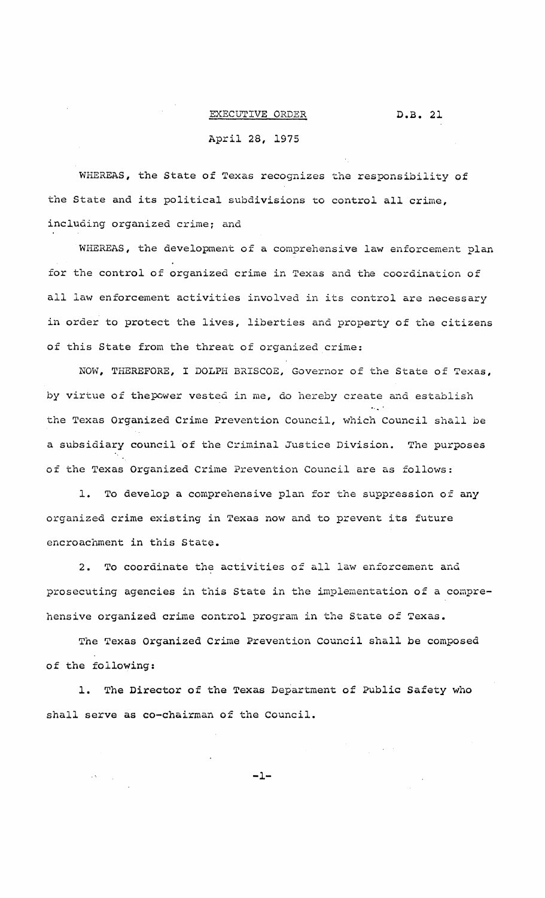## D.B. 21

## EXECUTIVE ORDER

## April 28, 1975

WHEREAS, the State of Texas recognizes the responsibility of the State and its political subdivisions to control all crime, inclUding organized crime; and

WHEREAS, the development of a comprehensive law enforcement plan for the control of organized crime in Texas and the coordination of all law enforcement activities involved in its control are necessary in order to protect the lives, liberties and property of the citizens of this State from the threat of organized crime:

NOW, THEREFORE, I DOLPH BRISCOE, Governor of the State of Texas, by virtue of thepower vested in me, do hereby create and establish the Texas Organized Crime Prevention Council, which Council shall be a subsidiary council of the Criminal Justice Division. The purposes of the Texas Organized Crime Prevention Council are as follows:

1. To develop <sup>a</sup> comprehensive plan for the suppression of any organized crime existing in Texas now and to prevent its future encroachment in this State.

2. To coordinate the activities of all law enforcement and prosecuting agencies in this State in the implementation of <sup>a</sup> comprehensive organized crime control program in the State of Texas.

The Texas Organized Crime Prevention Council shall be composed of the following:

1. The Director of the Texas Department of Public Safety who shall serve as co-chairman of the Council.

 $-1-$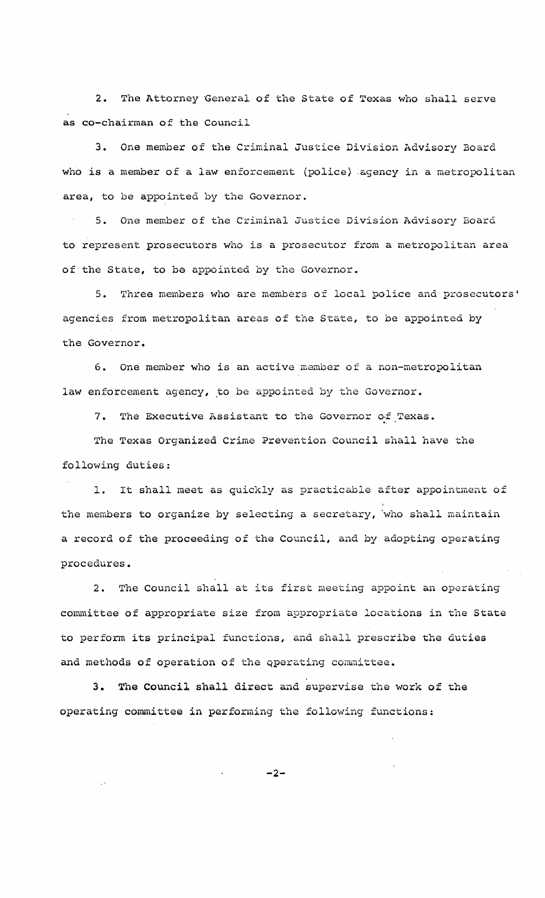2. The Attorney General of the State of Texas who shall serve as co-chairman of the Council

3. One member of the Criminal Justice Division Advisory Board who is a member of a law enforcement (police) agency in a metropolitan area, to be appointed by the Governor.

5. One member of the Criminal Justice Division Advisory Board to represent prosecutors who is <sup>a</sup> prosecutor from <sup>a</sup> metropolitan area of the State, to be appointed by the Governor.

5. Three members who are members of local police and prosecutors' agencies from metropolitan areas of the State, to be appointed by the Governor.

6. One member who is an active member of <sup>a</sup> non-metropolitan law enforcement agency, to be appointed by the Governor.

7. The Executive Assistant to the Governor of Texas.

The Texas Organized Crime Prevention Council shall have the following duties:

1. It shall meet as quickly as practicable after appointment of the members to organize by selecting <sup>a</sup> secretary, 'who shall maintain a record of the proceeding of the Council, and by adopting operating procedures.

2. The Council shall at its first meeting appoint an operating committee of appropriate size from appropriate locations in the State to perform its principal functions, and shall prescribe the duties and methods of operation of the operating committee.

3. The Council shall direct and supervise the work of the operating committee in performing the following functions:

 $-2-$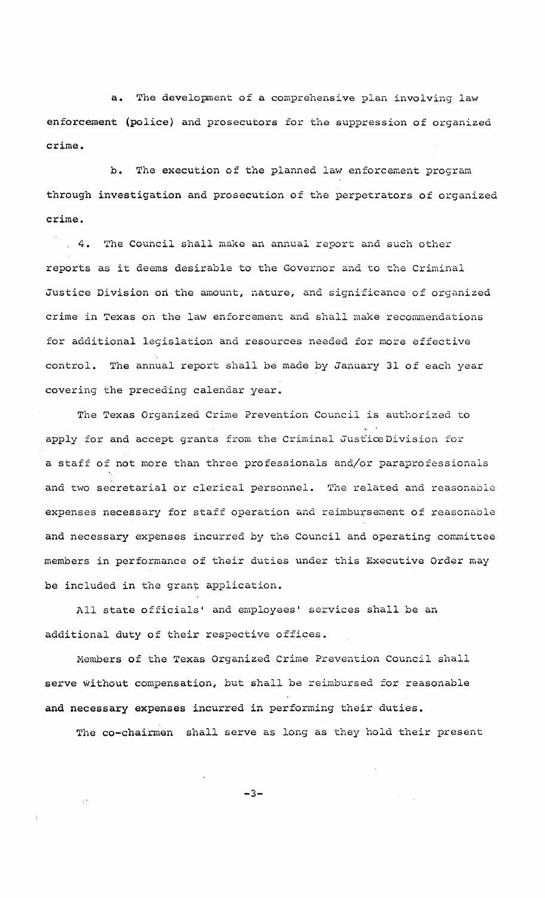**a.** The development of a comprehensive plan involving law enforcement (police) and prosecutors for the suppression of organized crime.

b. The execution of the planned law enforcement program through investigation and prosecution of the perpetrators of organized crime •

. 4. The Council shall make an annual report and such other reports as it deems desirable to the Governor and to the Criminal Justice Division on the amount, nature, and significance of organized crime in Texas on the law enforcement and shall make recommendations for additional legislation and resources needed for more effective control. The annual report shall be made by January 31 of each year covering the preceding calendar year.

The Texas Organized Crime Prevention Council is authorized to apply for and accept grants from the Criminal JusticeDivision for <sup>a</sup> staff of not more than three professionals and/or paraprofessionals and two secretarial or clerical personnel. The related and reasonable expenses necessary for staff operation and reimbursement of reasonable and necessary expenses incurred by the Council and operating committee members in performance of their duties under this Executive Order may be included in the grant application.

All state officials' and employees' services shall be an additional duty of their respective offices.

Members of the Texas Organized Crime Prevention Council shall serve without compensation, but shall be reimbursed for reasonable and necessary expenses incurred in performing their duties.

The co-chairmen shall serve as long as they hold their present

 $-3-$